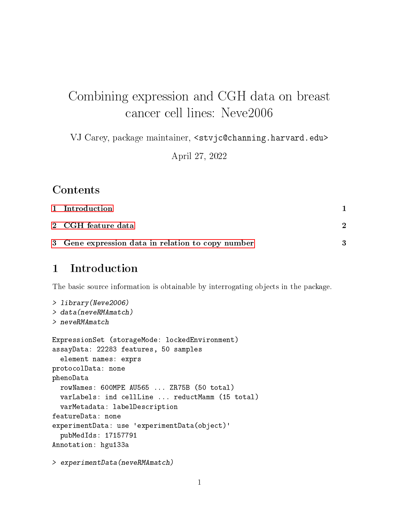# Combining expression and CGH data on breast cancer cell lines: Neve2006

VJ Carey, package maintainer, <stvjc@channing.harvard.edu>

April 27, 2022

#### **Contents**

| 1 Introduction                                    |  |
|---------------------------------------------------|--|
| 2   CGH feature data                              |  |
| 3 Gene expression data in relation to copy number |  |

## <span id="page-0-0"></span>1 Introduction

The basic source information is obtainable by interrogating objects in the package.

```
> library(Neve2006)
> data(neveRMAmatch)
> neveRMAmatch
ExpressionSet (storageMode: lockedEnvironment)
assayData: 22283 features, 50 samples
  element names: exprs
protocolData: none
phenoData
  rowNames: 600MPE AU565 ... ZR75B (50 total)
  varLabels: ind cellLine ... reductMamm (15 total)
  varMetadata: labelDescription
featureData: none
experimentData: use 'experimentData(object)'
  pubMedIds: 17157791
Annotation: hgu133a
```

```
> experimentData(neveRMAmatch)
```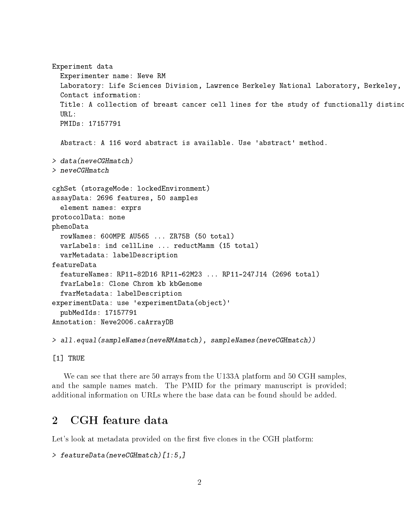```
Experiment data
 Experimenter name: Neve RM
 Laboratory: Life Sciences Division, Lawrence Berkeley National Laboratory, Berkeley,
  Contact information:
 Title: A collection of breast cancer cell lines for the study of functionally distinc
 URL:
 PMIDs: 17157791
 Abstract: A 116 word abstract is available. Use 'abstract' method.
> data(neveCGHmatch)
> neveCGHmatch
cghSet (storageMode: lockedEnvironment)
assayData: 2696 features, 50 samples
  element names: exprs
protocolData: none
phenoData
 rowNames: 600MPE AU565 ... ZR75B (50 total)
 varLabels: ind cellLine ... reductMamm (15 total)
  varMetadata: labelDescription
featureData
 featureNames: RP11-82D16 RP11-62M23 ... RP11-247J14 (2696 total)
 fvarLabels: Clone Chrom kb kbGenome
 fvarMetadata: labelDescription
experimentData: use 'experimentData(object)'
  pubMedIds: 17157791
Annotation: Neve2006.caArrayDB
> all.equal(sampleNames(neveRMAmatch), sampleNames(neveCGHmatch))
```
[1] TRUE

We can see that there are 50 arrays from the U133A platform and 50 CGH samples, and the sample names match. The PMID for the primary manuscript is provided; additional information on URLs where the base data can be found should be added.

## <span id="page-1-0"></span>2 CGH feature data

Let's look at metadata provided on the first five clones in the CGH platform:

```
> featureData(neveCGHmatch)[1:5,]
```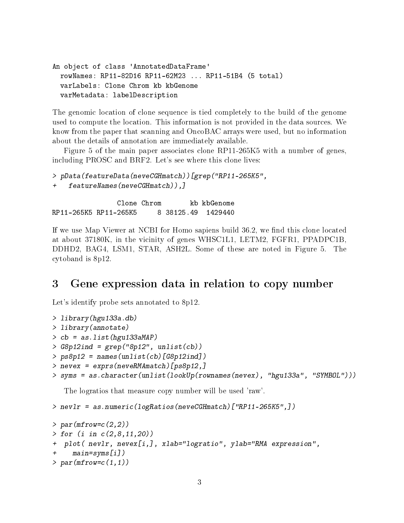```
An object of class 'AnnotatedDataFrame'
 rowNames: RP11-82D16 RP11-62M23 ... RP11-51B4 (5 total)
 varLabels: Clone Chrom kb kbGenome
 varMetadata: labelDescription
```
The genomic location of clone sequence is tied completely to the build of the genome used to compute the location. This information is not provided in the data sources. We know from the paper that scanning and OncoBAC arrays were used, but no information about the details of annotation are immediately available.

Figure 5 of the main paper associates clone RP11-265K5 with a number of genes, including PROSC and BRF2. Let's see where this clone lives:

```
> pData(featureData(neveCGHmatch))[grep("RP11-265K5",
   featureNames(neveCGHmatch)),]
```
Clone Chrom b kb kbGenome RP11-265K5 RP11-265K5 8 38125.49 1429440

If we use Map Viewer at NCBI for Homo sapiens build 36.2, we find this clone located at about 37180K, in the vicinity of genes WHSC1L1, LETM2, FGFR1, PPADPC1B, DDHD2, BAG4, LSM1, STAR, ASH2L. Some of these are noted in Figure 5. The cytoband is 8p12.

## <span id="page-2-0"></span>3 Gene expression data in relation to copy number

Let's identify probe sets annotated to 8p12.

```
> library(hgu133a.db)
> library(annotate)
> cb = as.list(hgu133aMAP)
> G8p12ind = grep("8p12", unlist(cb))
> ps8p12 = names(unlist(cb)[G8p12ind])> nevex = exprs(neveRMAmatch)[ps8p12,]
> syms = as.character(unlist(lookUp(rownames(nevex), "hgu133a", "SYMBOL")))
```
The logratios that measure copy number will be used 'raw'.

> nevlr = as.numeric(logRatios(neveCGHmatch)["RP11-265K5",])

```
> par(mfrow=c(2,2))> for (i in c(2,8,11,20))
+ plot( nevlr, nevex[i,], xlab="logratio", ylab="RMA expression",
    main=syms[i])
> par(mfrow=c(1,1))
```